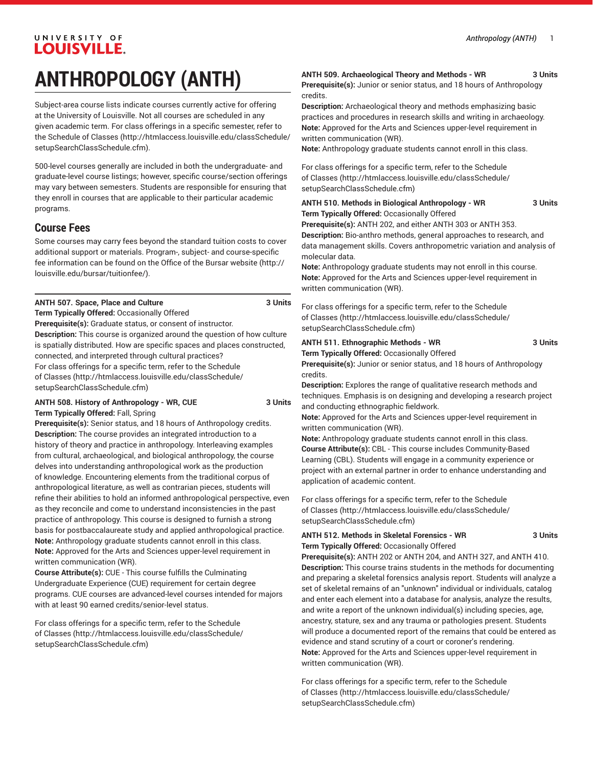# **ANTHROPOLOGY (ANTH)**

Subject-area course lists indicate courses currently active for offering at the University of Louisville. Not all courses are scheduled in any given academic term. For class offerings in a specific semester, refer to the [Schedule of Classes](http://htmlaccess.louisville.edu/classSchedule/setupSearchClassSchedule.cfm) ([http://htmlaccess.louisville.edu/classSchedule/](http://htmlaccess.louisville.edu/classSchedule/setupSearchClassSchedule.cfm) [setupSearchClassSchedule.cfm\)](http://htmlaccess.louisville.edu/classSchedule/setupSearchClassSchedule.cfm).

500-level courses generally are included in both the undergraduate- and graduate-level course listings; however, specific course/section offerings may vary between semesters. Students are responsible for ensuring that they enroll in courses that are applicable to their particular academic programs.

# **Course Fees**

Some courses may carry fees beyond the standard tuition costs to cover additional support or materials. Program-, subject- and course-specific fee information can be found on the [Office of the Bursar website](http://louisville.edu/bursar/tuitionfee/) ([http://](http://louisville.edu/bursar/tuitionfee/) [louisville.edu/bursar/tuitionfee/](http://louisville.edu/bursar/tuitionfee/)).

#### **ANTH 507. Space, Place and Culture 3 Units**

**Term Typically Offered:** Occasionally Offered **Prerequisite(s):** Graduate status, or consent of instructor. **Description:** This course is organized around the question of how culture is spatially distributed. How are specific spaces and places constructed, connected, and interpreted through cultural practices? For class offerings for a specific term, refer to the [Schedule](http://htmlaccess.louisville.edu/classSchedule/setupSearchClassSchedule.cfm) [of Classes \(http://htmlaccess.louisville.edu/classSchedule/](http://htmlaccess.louisville.edu/classSchedule/setupSearchClassSchedule.cfm) [setupSearchClassSchedule.cfm\)](http://htmlaccess.louisville.edu/classSchedule/setupSearchClassSchedule.cfm)

#### **ANTH 508. History of Anthropology - WR, CUE 3 Units Term Typically Offered:** Fall, Spring

**Prerequisite(s):** Senior status, and 18 hours of Anthropology credits. **Description:** The course provides an integrated introduction to a history of theory and practice in anthropology. Interleaving examples from cultural, archaeological, and biological anthropology, the course delves into understanding anthropological work as the production of knowledge. Encountering elements from the traditional corpus of anthropological literature, as well as contrarian pieces, students will refine their abilities to hold an informed anthropological perspective, even as they reconcile and come to understand inconsistencies in the past practice of anthropology. This course is designed to furnish a strong basis for postbaccalaureate study and applied anthropological practice. **Note:** Anthropology graduate students cannot enroll in this class. **Note:** Approved for the Arts and Sciences upper-level requirement in written communication (WR).

**Course Attribute(s):** CUE - This course fulfills the Culminating Undergraduate Experience (CUE) requirement for certain degree programs. CUE courses are advanced-level courses intended for majors with at least 90 earned credits/senior-level status.

For class offerings for a specific term, refer to the [Schedule](http://htmlaccess.louisville.edu/classSchedule/setupSearchClassSchedule.cfm) [of Classes \(http://htmlaccess.louisville.edu/classSchedule/](http://htmlaccess.louisville.edu/classSchedule/setupSearchClassSchedule.cfm) [setupSearchClassSchedule.cfm\)](http://htmlaccess.louisville.edu/classSchedule/setupSearchClassSchedule.cfm)

### **ANTH 509. Archaeological Theory and Methods - WR 3 Units**

**Prerequisite(s):** Junior or senior status, and 18 hours of Anthropology credits.

**Description:** Archaeological theory and methods emphasizing basic practices and procedures in research skills and writing in archaeology. **Note:** Approved for the Arts and Sciences upper-level requirement in written communication (WR).

**Note:** Anthropology graduate students cannot enroll in this class.

For class offerings for a specific term, refer to the [Schedule](http://htmlaccess.louisville.edu/classSchedule/setupSearchClassSchedule.cfm) [of Classes](http://htmlaccess.louisville.edu/classSchedule/setupSearchClassSchedule.cfm) ([http://htmlaccess.louisville.edu/classSchedule/](http://htmlaccess.louisville.edu/classSchedule/setupSearchClassSchedule.cfm) [setupSearchClassSchedule.cfm\)](http://htmlaccess.louisville.edu/classSchedule/setupSearchClassSchedule.cfm)

#### **ANTH 510. Methods in Biological Anthropology - WR 3 Units Term Typically Offered:** Occasionally Offered

**Prerequisite(s):** ANTH 202, and either ANTH 303 or ANTH 353. **Description:** Bio-anthro methods, general approaches to research, and data management skills. Covers anthropometric variation and analysis of molecular data.

**Note:** Anthropology graduate students may not enroll in this course. **Note:** Approved for the Arts and Sciences upper-level requirement in written communication (WR).

For class offerings for a specific term, refer to the [Schedule](http://htmlaccess.louisville.edu/classSchedule/setupSearchClassSchedule.cfm) [of Classes](http://htmlaccess.louisville.edu/classSchedule/setupSearchClassSchedule.cfm) ([http://htmlaccess.louisville.edu/classSchedule/](http://htmlaccess.louisville.edu/classSchedule/setupSearchClassSchedule.cfm) [setupSearchClassSchedule.cfm\)](http://htmlaccess.louisville.edu/classSchedule/setupSearchClassSchedule.cfm)

# **ANTH 511. Ethnographic Methods - WR 3 Units Term Typically Offered:** Occasionally Offered

**Prerequisite(s):** Junior or senior status, and 18 hours of Anthropology credits.

**Description:** Explores the range of qualitative research methods and techniques. Emphasis is on designing and developing a research project and conducting ethnographic fieldwork.

**Note:** Approved for the Arts and Sciences upper-level requirement in written communication (WR).

**Note:** Anthropology graduate students cannot enroll in this class. **Course Attribute(s):** CBL - This course includes Community-Based Learning (CBL). Students will engage in a community experience or project with an external partner in order to enhance understanding and application of academic content.

For class offerings for a specific term, refer to the [Schedule](http://htmlaccess.louisville.edu/classSchedule/setupSearchClassSchedule.cfm) [of Classes](http://htmlaccess.louisville.edu/classSchedule/setupSearchClassSchedule.cfm) ([http://htmlaccess.louisville.edu/classSchedule/](http://htmlaccess.louisville.edu/classSchedule/setupSearchClassSchedule.cfm) [setupSearchClassSchedule.cfm\)](http://htmlaccess.louisville.edu/classSchedule/setupSearchClassSchedule.cfm)

#### **ANTH 512. Methods in Skeletal Forensics - WR 3 Units Term Typically Offered:** Occasionally Offered

**Prerequisite(s):** ANTH 202 or ANTH 204, and ANTH 327, and ANTH 410. **Description:** This course trains students in the methods for documenting and preparing a skeletal forensics analysis report. Students will analyze a set of skeletal remains of an "unknown" individual or individuals, catalog and enter each element into a database for analysis, analyze the results, and write a report of the unknown individual(s) including species, age, ancestry, stature, sex and any trauma or pathologies present. Students will produce a documented report of the remains that could be entered as evidence and stand scrutiny of a court or coroner's rendering. **Note:** Approved for the Arts and Sciences upper-level requirement in written communication (WR).

For class offerings for a specific term, refer to the [Schedule](http://htmlaccess.louisville.edu/classSchedule/setupSearchClassSchedule.cfm) [of Classes](http://htmlaccess.louisville.edu/classSchedule/setupSearchClassSchedule.cfm) ([http://htmlaccess.louisville.edu/classSchedule/](http://htmlaccess.louisville.edu/classSchedule/setupSearchClassSchedule.cfm) [setupSearchClassSchedule.cfm\)](http://htmlaccess.louisville.edu/classSchedule/setupSearchClassSchedule.cfm)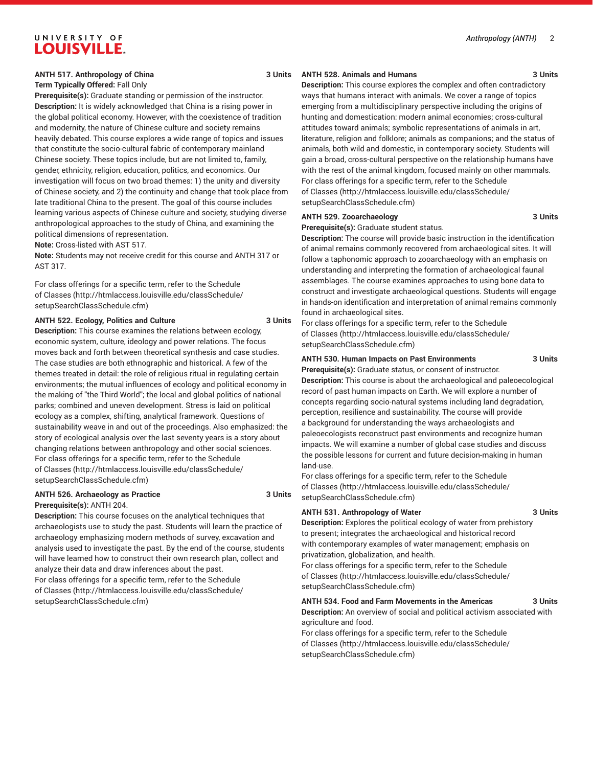### **ANTH 517. Anthropology of China 3 Units**

# **Term Typically Offered:** Fall Only

**Prerequisite(s):** Graduate standing or permission of the instructor. **Description:** It is widely acknowledged that China is a rising power in the global political economy. However, with the coexistence of tradition and modernity, the nature of Chinese culture and society remains heavily debated. This course explores a wide range of topics and issues that constitute the socio-cultural fabric of contemporary mainland Chinese society. These topics include, but are not limited to, family, gender, ethnicity, religion, education, politics, and economics. Our investigation will focus on two broad themes: 1) the unity and diversity of Chinese society, and 2) the continuity and change that took place from late traditional China to the present. The goal of this course includes learning various aspects of Chinese culture and society, studying diverse anthropological approaches to the study of China, and examining the political dimensions of representation.

**Note:** Cross-listed with AST 517.

**Note:** Students may not receive credit for this course and ANTH 317 or AST 317.

For class offerings for a specific term, refer to the [Schedule](http://htmlaccess.louisville.edu/classSchedule/setupSearchClassSchedule.cfm) [of Classes \(http://htmlaccess.louisville.edu/classSchedule/](http://htmlaccess.louisville.edu/classSchedule/setupSearchClassSchedule.cfm) [setupSearchClassSchedule.cfm\)](http://htmlaccess.louisville.edu/classSchedule/setupSearchClassSchedule.cfm)

#### **ANTH 522. Ecology, Politics and Culture 3 Units**

**Description:** This course examines the relations between ecology, economic system, culture, ideology and power relations. The focus moves back and forth between theoretical synthesis and case studies. The case studies are both ethnographic and historical. A few of the themes treated in detail: the role of religious ritual in regulating certain environments; the mutual influences of ecology and political economy in the making of "the Third World"; the local and global politics of national parks; combined and uneven development. Stress is laid on political ecology as a complex, shifting, analytical framework. Questions of sustainability weave in and out of the proceedings. Also emphasized: the story of ecological analysis over the last seventy years is a story about changing relations between anthropology and other social sciences. For class offerings for a specific term, refer to the [Schedule](http://htmlaccess.louisville.edu/classSchedule/setupSearchClassSchedule.cfm) [of Classes \(http://htmlaccess.louisville.edu/classSchedule/](http://htmlaccess.louisville.edu/classSchedule/setupSearchClassSchedule.cfm) [setupSearchClassSchedule.cfm\)](http://htmlaccess.louisville.edu/classSchedule/setupSearchClassSchedule.cfm)

#### **ANTH 526. Archaeology as Practice 3 Units Prerequisite(s):** ANTH 204.

**Description:** This course focuses on the analytical techniques that archaeologists use to study the past. Students will learn the practice of archaeology emphasizing modern methods of survey, excavation and analysis used to investigate the past. By the end of the course, students will have learned how to construct their own research plan, collect and

analyze their data and draw inferences about the past. For class offerings for a specific term, refer to the [Schedule](http://htmlaccess.louisville.edu/classSchedule/setupSearchClassSchedule.cfm) [of Classes \(http://htmlaccess.louisville.edu/classSchedule/](http://htmlaccess.louisville.edu/classSchedule/setupSearchClassSchedule.cfm) [setupSearchClassSchedule.cfm\)](http://htmlaccess.louisville.edu/classSchedule/setupSearchClassSchedule.cfm)

#### **ANTH 528. Animals and Humans 3 Units**

**Description:** This course explores the complex and often contradictory ways that humans interact with animals. We cover a range of topics emerging from a multidisciplinary perspective including the origins of hunting and domestication: modern animal economies; cross-cultural attitudes toward animals; symbolic representations of animals in art, literature, religion and folklore; animals as companions; and the status of animals, both wild and domestic, in contemporary society. Students will gain a broad, cross-cultural perspective on the relationship humans have with the rest of the animal kingdom, focused mainly on other mammals. For class offerings for a specific term, refer to the [Schedule](http://htmlaccess.louisville.edu/classSchedule/setupSearchClassSchedule.cfm) [of Classes](http://htmlaccess.louisville.edu/classSchedule/setupSearchClassSchedule.cfm) ([http://htmlaccess.louisville.edu/classSchedule/](http://htmlaccess.louisville.edu/classSchedule/setupSearchClassSchedule.cfm) [setupSearchClassSchedule.cfm\)](http://htmlaccess.louisville.edu/classSchedule/setupSearchClassSchedule.cfm)

#### **ANTH 529. Zooarchaeology 3 Units**

**Prerequisite(s):** Graduate student status.

**Description:** The course will provide basic instruction in the identification of animal remains commonly recovered from archaeological sites. It will follow a taphonomic approach to zooarchaeology with an emphasis on understanding and interpreting the formation of archaeological faunal assemblages. The course examines approaches to using bone data to construct and investigate archaeological questions. Students will engage in hands-on identification and interpretation of animal remains commonly found in archaeological sites.

For class offerings for a specific term, refer to the [Schedule](http://htmlaccess.louisville.edu/classSchedule/setupSearchClassSchedule.cfm) [of Classes](http://htmlaccess.louisville.edu/classSchedule/setupSearchClassSchedule.cfm) ([http://htmlaccess.louisville.edu/classSchedule/](http://htmlaccess.louisville.edu/classSchedule/setupSearchClassSchedule.cfm) [setupSearchClassSchedule.cfm\)](http://htmlaccess.louisville.edu/classSchedule/setupSearchClassSchedule.cfm)

#### **ANTH 530. Human Impacts on Past Environments 3 Units**

**Prerequisite(s):** Graduate status, or consent of instructor. **Description:** This course is about the archaeological and paleoecological record of past human impacts on Earth. We will explore a number of concepts regarding socio-natural systems including land degradation, perception, resilience and sustainability. The course will provide a background for understanding the ways archaeologists and paleoecologists reconstruct past environments and recognize human impacts. We will examine a number of global case studies and discuss the possible lessons for current and future decision-making in human land-use.

For class offerings for a specific term, refer to the [Schedule](http://htmlaccess.louisville.edu/classSchedule/setupSearchClassSchedule.cfm) [of Classes](http://htmlaccess.louisville.edu/classSchedule/setupSearchClassSchedule.cfm) ([http://htmlaccess.louisville.edu/classSchedule/](http://htmlaccess.louisville.edu/classSchedule/setupSearchClassSchedule.cfm) [setupSearchClassSchedule.cfm\)](http://htmlaccess.louisville.edu/classSchedule/setupSearchClassSchedule.cfm)

#### **ANTH 531. Anthropology of Water 3 Units**

**Description:** Explores the political ecology of water from prehistory to present; integrates the archaeological and historical record with contemporary examples of water management; emphasis on privatization, globalization, and health.

For class offerings for a specific term, refer to the [Schedule](http://htmlaccess.louisville.edu/classSchedule/setupSearchClassSchedule.cfm) [of Classes](http://htmlaccess.louisville.edu/classSchedule/setupSearchClassSchedule.cfm) ([http://htmlaccess.louisville.edu/classSchedule/](http://htmlaccess.louisville.edu/classSchedule/setupSearchClassSchedule.cfm) [setupSearchClassSchedule.cfm\)](http://htmlaccess.louisville.edu/classSchedule/setupSearchClassSchedule.cfm)

#### **ANTH 534. Food and Farm Movements in the Americas 3 Units Description:** An overview of social and political activism associated with

agriculture and food. For class offerings for a specific term, refer to the [Schedule](http://htmlaccess.louisville.edu/classSchedule/setupSearchClassSchedule.cfm) [of Classes](http://htmlaccess.louisville.edu/classSchedule/setupSearchClassSchedule.cfm) ([http://htmlaccess.louisville.edu/classSchedule/](http://htmlaccess.louisville.edu/classSchedule/setupSearchClassSchedule.cfm)

[setupSearchClassSchedule.cfm\)](http://htmlaccess.louisville.edu/classSchedule/setupSearchClassSchedule.cfm)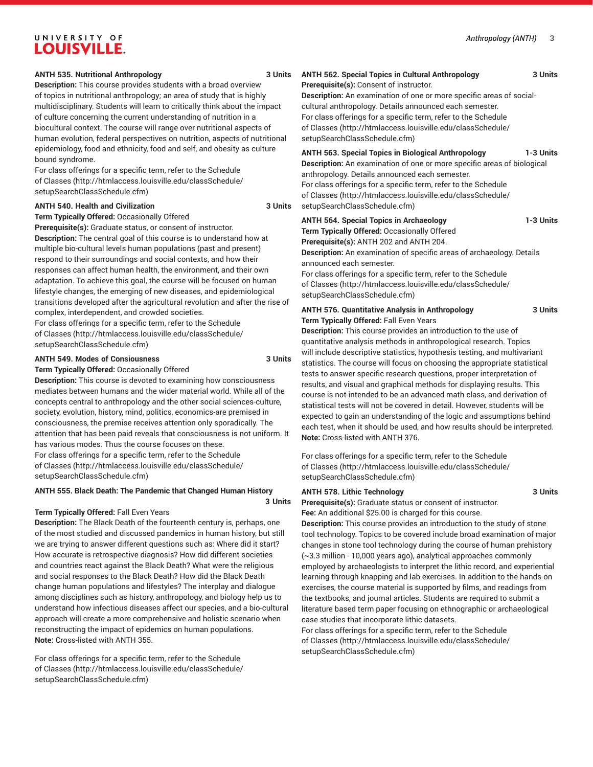#### *Anthropology (ANTH)* 3

# UNIVERSITY OF **LOUISVILLE.**

#### **ANTH 535. Nutritional Anthropology 3 Units**

**Description:** This course provides students with a broad overview of topics in nutritional anthropology; an area of study that is highly multidisciplinary. Students will learn to critically think about the impact of culture concerning the current understanding of nutrition in a biocultural context. The course will range over nutritional aspects of human evolution, federal perspectives on nutrition, aspects of nutritional epidemiology, food and ethnicity, food and self, and obesity as culture bound syndrome.

For class offerings for a specific term, refer to the [Schedule](http://htmlaccess.louisville.edu/classSchedule/setupSearchClassSchedule.cfm) [of Classes \(http://htmlaccess.louisville.edu/classSchedule/](http://htmlaccess.louisville.edu/classSchedule/setupSearchClassSchedule.cfm) [setupSearchClassSchedule.cfm\)](http://htmlaccess.louisville.edu/classSchedule/setupSearchClassSchedule.cfm)

#### **ANTH 540. Health and Civilization 3 Units**

**Term Typically Offered:** Occasionally Offered

**Prerequisite(s):** Graduate status, or consent of instructor. **Description:** The central goal of this course is to understand how at multiple bio-cultural levels human populations (past and present) respond to their surroundings and social contexts, and how their responses can affect human health, the environment, and their own adaptation. To achieve this goal, the course will be focused on human lifestyle changes, the emerging of new diseases, and epidemiological transitions developed after the agricultural revolution and after the rise of complex, interdependent, and crowded societies.

For class offerings for a specific term, refer to the [Schedule](http://htmlaccess.louisville.edu/classSchedule/setupSearchClassSchedule.cfm) [of Classes \(http://htmlaccess.louisville.edu/classSchedule/](http://htmlaccess.louisville.edu/classSchedule/setupSearchClassSchedule.cfm) [setupSearchClassSchedule.cfm\)](http://htmlaccess.louisville.edu/classSchedule/setupSearchClassSchedule.cfm)

#### **ANTH 549. Modes of Consiousness 3 Units**

**Term Typically Offered:** Occasionally Offered

**Description:** This course is devoted to examining how consciousness mediates between humans and the wider material world. While all of the concepts central to anthropology and the other social sciences-culture, society, evolution, history, mind, politics, economics-are premised in consciousness, the premise receives attention only sporadically. The attention that has been paid reveals that consciousness is not uniform. It has various modes. Thus the course focuses on these. For class offerings for a specific term, refer to the [Schedule](http://htmlaccess.louisville.edu/classSchedule/setupSearchClassSchedule.cfm) [of Classes \(http://htmlaccess.louisville.edu/classSchedule/](http://htmlaccess.louisville.edu/classSchedule/setupSearchClassSchedule.cfm) [setupSearchClassSchedule.cfm\)](http://htmlaccess.louisville.edu/classSchedule/setupSearchClassSchedule.cfm)

#### **ANTH 555. Black Death: The Pandemic that Changed Human History 3 Units**

#### **Term Typically Offered:** Fall Even Years

**Description:** The Black Death of the fourteenth century is, perhaps, one of the most studied and discussed pandemics in human history, but still we are trying to answer different questions such as: Where did it start? How accurate is retrospective diagnosis? How did different societies and countries react against the Black Death? What were the religious and social responses to the Black Death? How did the Black Death change human populations and lifestyles? The interplay and dialogue among disciplines such as history, anthropology, and biology help us to understand how infectious diseases affect our species, and a bio-cultural approach will create a more comprehensive and holistic scenario when reconstructing the impact of epidemics on human populations. **Note:** Cross-listed with ANTH 355.

For class offerings for a specific term, refer to the [Schedule](http://htmlaccess.louisville.edu/classSchedule/setupSearchClassSchedule.cfm) [of Classes \(http://htmlaccess.louisville.edu/classSchedule/](http://htmlaccess.louisville.edu/classSchedule/setupSearchClassSchedule.cfm) [setupSearchClassSchedule.cfm\)](http://htmlaccess.louisville.edu/classSchedule/setupSearchClassSchedule.cfm)

#### **ANTH 562. Special Topics in Cultural Anthropology 3 Units**

**Prerequisite(s):** Consent of instructor.

**Description:** An examination of one or more specific areas of socialcultural anthropology. Details announced each semester. For class offerings for a specific term, refer to the [Schedule](http://htmlaccess.louisville.edu/classSchedule/setupSearchClassSchedule.cfm) [of Classes](http://htmlaccess.louisville.edu/classSchedule/setupSearchClassSchedule.cfm) ([http://htmlaccess.louisville.edu/classSchedule/](http://htmlaccess.louisville.edu/classSchedule/setupSearchClassSchedule.cfm) [setupSearchClassSchedule.cfm\)](http://htmlaccess.louisville.edu/classSchedule/setupSearchClassSchedule.cfm)

#### **ANTH 563. Special Topics in Biological Anthropology 1-3 Units**

**Description:** An examination of one or more specific areas of biological anthropology. Details announced each semester. For class offerings for a specific term, refer to the [Schedule](http://htmlaccess.louisville.edu/classSchedule/setupSearchClassSchedule.cfm) [of Classes](http://htmlaccess.louisville.edu/classSchedule/setupSearchClassSchedule.cfm) ([http://htmlaccess.louisville.edu/classSchedule/](http://htmlaccess.louisville.edu/classSchedule/setupSearchClassSchedule.cfm)

**ANTH 564. Special Topics in Archaeology 1-3 Units**

[setupSearchClassSchedule.cfm\)](http://htmlaccess.louisville.edu/classSchedule/setupSearchClassSchedule.cfm)

**Term Typically Offered:** Occasionally Offered

**Prerequisite(s):** ANTH 202 and ANTH 204.

**Description:** An examination of specific areas of archaeology. Details announced each semester.

For class offerings for a specific term, refer to the [Schedule](http://htmlaccess.louisville.edu/classSchedule/setupSearchClassSchedule.cfm) [of Classes](http://htmlaccess.louisville.edu/classSchedule/setupSearchClassSchedule.cfm) ([http://htmlaccess.louisville.edu/classSchedule/](http://htmlaccess.louisville.edu/classSchedule/setupSearchClassSchedule.cfm) [setupSearchClassSchedule.cfm\)](http://htmlaccess.louisville.edu/classSchedule/setupSearchClassSchedule.cfm)

**ANTH 576. Quantitative Analysis in Anthropology 3 Units Term Typically Offered:** Fall Even Years

**Description:** This course provides an introduction to the use of quantitative analysis methods in anthropological research. Topics will include descriptive statistics, hypothesis testing, and multivariant statistics. The course will focus on choosing the appropriate statistical tests to answer specific research questions, proper interpretation of results, and visual and graphical methods for displaying results. This course is not intended to be an advanced math class, and derivation of statistical tests will not be covered in detail. However, students will be expected to gain an understanding of the logic and assumptions behind each test, when it should be used, and how results should be interpreted. **Note:** Cross-listed with ANTH 376.

For class offerings for a specific term, refer to the [Schedule](http://htmlaccess.louisville.edu/classSchedule/setupSearchClassSchedule.cfm) [of Classes](http://htmlaccess.louisville.edu/classSchedule/setupSearchClassSchedule.cfm) ([http://htmlaccess.louisville.edu/classSchedule/](http://htmlaccess.louisville.edu/classSchedule/setupSearchClassSchedule.cfm) [setupSearchClassSchedule.cfm\)](http://htmlaccess.louisville.edu/classSchedule/setupSearchClassSchedule.cfm)

#### **ANTH 578. Lithic Technology 3 Units**

**Prerequisite(s):** Graduate status or consent of instructor. **Fee:** An additional \$25.00 is charged for this course.

**Description:** This course provides an introduction to the study of stone tool technology. Topics to be covered include broad examination of major changes in stone tool technology during the course of human prehistory (~3.3 million - 10,000 years ago), analytical approaches commonly employed by archaeologists to interpret the lithic record, and experiential learning through knapping and lab exercises. In addition to the hands-on exercises, the course material is supported by films, and readings from the textbooks, and journal articles. Students are required to submit a literature based term paper focusing on ethnographic or archaeological case studies that incorporate lithic datasets.

For class offerings for a specific term, refer to the [Schedule](http://htmlaccess.louisville.edu/classSchedule/setupSearchClassSchedule.cfm) [of Classes](http://htmlaccess.louisville.edu/classSchedule/setupSearchClassSchedule.cfm) ([http://htmlaccess.louisville.edu/classSchedule/](http://htmlaccess.louisville.edu/classSchedule/setupSearchClassSchedule.cfm) [setupSearchClassSchedule.cfm\)](http://htmlaccess.louisville.edu/classSchedule/setupSearchClassSchedule.cfm)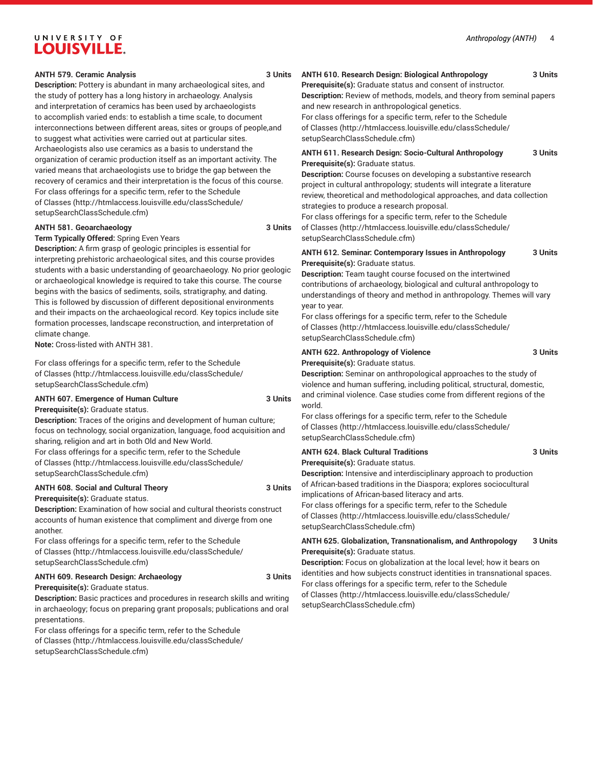#### **ANTH 579. Ceramic Analysis 3 Units**

**Description:** Pottery is abundant in many archaeological sites, and the study of pottery has a long history in archaeology. Analysis and interpretation of ceramics has been used by archaeologists to accomplish varied ends: to establish a time scale, to document interconnections between different areas, sites or groups of people,and to suggest what activities were carried out at particular sites. Archaeologists also use ceramics as a basis to understand the organization of ceramic production itself as an important activity. The varied means that archaeologists use to bridge the gap between the recovery of ceramics and their interpretation is the focus of this course. For class offerings for a specific term, refer to the [Schedule](http://htmlaccess.louisville.edu/classSchedule/setupSearchClassSchedule.cfm) [of Classes \(http://htmlaccess.louisville.edu/classSchedule/](http://htmlaccess.louisville.edu/classSchedule/setupSearchClassSchedule.cfm) [setupSearchClassSchedule.cfm\)](http://htmlaccess.louisville.edu/classSchedule/setupSearchClassSchedule.cfm)

#### **ANTH 581. Geoarchaeology 3 Units**

**Term Typically Offered:** Spring Even Years **Description:** A firm grasp of geologic principles is essential for interpreting prehistoric archaeological sites, and this course provides students with a basic understanding of geoarchaeology. No prior geologic or archaeological knowledge is required to take this course. The course begins with the basics of sediments, soils, stratigraphy, and dating. This is followed by discussion of different depositional environments and their impacts on the archaeological record. Key topics include site formation processes, landscape reconstruction, and interpretation of climate change.

**Note:** Cross-listed with ANTH 381.

For class offerings for a specific term, refer to the [Schedule](http://htmlaccess.louisville.edu/classSchedule/setupSearchClassSchedule.cfm) [of Classes \(http://htmlaccess.louisville.edu/classSchedule/](http://htmlaccess.louisville.edu/classSchedule/setupSearchClassSchedule.cfm) [setupSearchClassSchedule.cfm\)](http://htmlaccess.louisville.edu/classSchedule/setupSearchClassSchedule.cfm)

# **ANTH 607. Emergence of Human Culture 3 Units**

**Prerequisite(s):** Graduate status.

**Description:** Traces of the origins and development of human culture; focus on technology, social organization, language, food acquisition and sharing, religion and art in both Old and New World.

For class offerings for a specific term, refer to the [Schedule](http://htmlaccess.louisville.edu/classSchedule/setupSearchClassSchedule.cfm) [of Classes \(http://htmlaccess.louisville.edu/classSchedule/](http://htmlaccess.louisville.edu/classSchedule/setupSearchClassSchedule.cfm) [setupSearchClassSchedule.cfm\)](http://htmlaccess.louisville.edu/classSchedule/setupSearchClassSchedule.cfm)

#### **ANTH 608. Social and Cultural Theory 3 Units**

**Prerequisite(s):** Graduate status.

**Description:** Examination of how social and cultural theorists construct accounts of human existence that compliment and diverge from one another.

For class offerings for a specific term, refer to the [Schedule](http://htmlaccess.louisville.edu/classSchedule/setupSearchClassSchedule.cfm) [of Classes \(http://htmlaccess.louisville.edu/classSchedule/](http://htmlaccess.louisville.edu/classSchedule/setupSearchClassSchedule.cfm) [setupSearchClassSchedule.cfm\)](http://htmlaccess.louisville.edu/classSchedule/setupSearchClassSchedule.cfm)

# **ANTH 609. Research Design: Archaeology 3 Units**

**Prerequisite(s):** Graduate status.

**Description:** Basic practices and procedures in research skills and writing in archaeology; focus on preparing grant proposals; publications and oral presentations. For class offerings for a specific term, refer to the [Schedule](http://htmlaccess.louisville.edu/classSchedule/setupSearchClassSchedule.cfm)

[of Classes \(http://htmlaccess.louisville.edu/classSchedule/](http://htmlaccess.louisville.edu/classSchedule/setupSearchClassSchedule.cfm) [setupSearchClassSchedule.cfm\)](http://htmlaccess.louisville.edu/classSchedule/setupSearchClassSchedule.cfm)

# **ANTH 610. Research Design: Biological Anthropology 3 Units**

**Prerequisite(s):** Graduate status and consent of instructor. **Description:** Review of methods, models, and theory from seminal papers and new research in anthropological genetics.

For class offerings for a specific term, refer to the [Schedule](http://htmlaccess.louisville.edu/classSchedule/setupSearchClassSchedule.cfm) [of Classes](http://htmlaccess.louisville.edu/classSchedule/setupSearchClassSchedule.cfm) ([http://htmlaccess.louisville.edu/classSchedule/](http://htmlaccess.louisville.edu/classSchedule/setupSearchClassSchedule.cfm) [setupSearchClassSchedule.cfm\)](http://htmlaccess.louisville.edu/classSchedule/setupSearchClassSchedule.cfm)

#### **ANTH 611. Research Design: Socio-Cultural Anthropology 3 Units Prerequisite(s):** Graduate status.

**Description:** Course focuses on developing a substantive research project in cultural anthropology; students will integrate a literature review, theoretical and methodological approaches, and data collection strategies to produce a research proposal.

For class offerings for a specific term, refer to the [Schedule](http://htmlaccess.louisville.edu/classSchedule/setupSearchClassSchedule.cfm) [of Classes](http://htmlaccess.louisville.edu/classSchedule/setupSearchClassSchedule.cfm) ([http://htmlaccess.louisville.edu/classSchedule/](http://htmlaccess.louisville.edu/classSchedule/setupSearchClassSchedule.cfm) [setupSearchClassSchedule.cfm\)](http://htmlaccess.louisville.edu/classSchedule/setupSearchClassSchedule.cfm)

#### **ANTH 612. Seminar: Contemporary Issues in Anthropology 3 Units Prerequisite(s):** Graduate status.

**Description:** Team taught course focused on the intertwined contributions of archaeology, biological and cultural anthropology to understandings of theory and method in anthropology. Themes will vary year to year.

For class offerings for a specific term, refer to the [Schedule](http://htmlaccess.louisville.edu/classSchedule/setupSearchClassSchedule.cfm) [of Classes](http://htmlaccess.louisville.edu/classSchedule/setupSearchClassSchedule.cfm) ([http://htmlaccess.louisville.edu/classSchedule/](http://htmlaccess.louisville.edu/classSchedule/setupSearchClassSchedule.cfm) [setupSearchClassSchedule.cfm\)](http://htmlaccess.louisville.edu/classSchedule/setupSearchClassSchedule.cfm)

#### **ANTH 622. Anthropology of Violence 3 Units Prerequisite(s):** Graduate status.

**Description:** Seminar on anthropological approaches to the study of violence and human suffering, including political, structural, domestic, and criminal violence. Case studies come from different regions of the world.

For class offerings for a specific term, refer to the [Schedule](http://htmlaccess.louisville.edu/classSchedule/setupSearchClassSchedule.cfm) [of Classes](http://htmlaccess.louisville.edu/classSchedule/setupSearchClassSchedule.cfm) ([http://htmlaccess.louisville.edu/classSchedule/](http://htmlaccess.louisville.edu/classSchedule/setupSearchClassSchedule.cfm) [setupSearchClassSchedule.cfm\)](http://htmlaccess.louisville.edu/classSchedule/setupSearchClassSchedule.cfm)

#### **ANTH 624. Black Cultural Traditions 3 Units**

**Prerequisite(s):** Graduate status.

**Description:** Intensive and interdisciplinary approach to production of African-based traditions in the Diaspora; explores sociocultural implications of African-based literacy and arts.

For class offerings for a specific term, refer to the [Schedule](http://htmlaccess.louisville.edu/classSchedule/setupSearchClassSchedule.cfm) [of Classes](http://htmlaccess.louisville.edu/classSchedule/setupSearchClassSchedule.cfm) ([http://htmlaccess.louisville.edu/classSchedule/](http://htmlaccess.louisville.edu/classSchedule/setupSearchClassSchedule.cfm) [setupSearchClassSchedule.cfm\)](http://htmlaccess.louisville.edu/classSchedule/setupSearchClassSchedule.cfm)

#### **ANTH 625. Globalization, Transnationalism, and Anthropology 3 Units Prerequisite(s):** Graduate status.

**Description:** Focus on globalization at the local level; how it bears on identities and how subjects construct identities in transnational spaces. For class offerings for a specific term, refer to the [Schedule](http://htmlaccess.louisville.edu/classSchedule/setupSearchClassSchedule.cfm) [of Classes](http://htmlaccess.louisville.edu/classSchedule/setupSearchClassSchedule.cfm) ([http://htmlaccess.louisville.edu/classSchedule/](http://htmlaccess.louisville.edu/classSchedule/setupSearchClassSchedule.cfm) [setupSearchClassSchedule.cfm\)](http://htmlaccess.louisville.edu/classSchedule/setupSearchClassSchedule.cfm)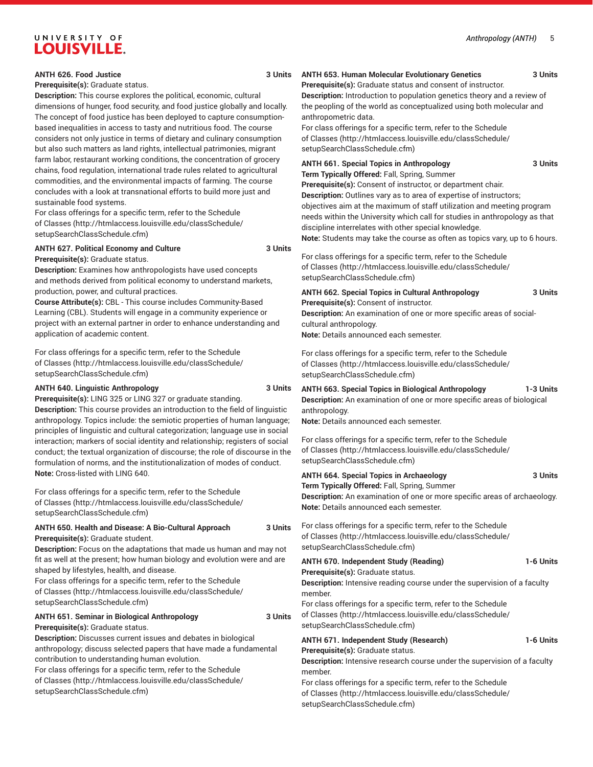#### **ANTH 626. Food Justice 3 Units**

**Prerequisite(s):** Graduate status.

**Description:** This course explores the political, economic, cultural dimensions of hunger, food security, and food justice globally and locally. The concept of food justice has been deployed to capture consumptionbased inequalities in access to tasty and nutritious food. The course considers not only justice in terms of dietary and culinary consumption but also such matters as land rights, intellectual patrimonies, migrant farm labor, restaurant working conditions, the concentration of grocery chains, food regulation, international trade rules related to agricultural commodities, and the environmental impacts of farming. The course concludes with a look at transnational efforts to build more just and sustainable food systems.

For class offerings for a specific term, refer to the [Schedule](http://htmlaccess.louisville.edu/classSchedule/setupSearchClassSchedule.cfm) [of Classes \(http://htmlaccess.louisville.edu/classSchedule/](http://htmlaccess.louisville.edu/classSchedule/setupSearchClassSchedule.cfm) [setupSearchClassSchedule.cfm\)](http://htmlaccess.louisville.edu/classSchedule/setupSearchClassSchedule.cfm)

#### **ANTH 627. Political Economy and Culture 3 Units**

**Prerequisite(s):** Graduate status.

**Description:** Examines how anthropologists have used concepts and methods derived from political economy to understand markets, production, power, and cultural practices.

**Course Attribute(s):** CBL - This course includes Community-Based Learning (CBL). Students will engage in a community experience or project with an external partner in order to enhance understanding and application of academic content.

For class offerings for a specific term, refer to the [Schedule](http://htmlaccess.louisville.edu/classSchedule/setupSearchClassSchedule.cfm) [of Classes \(http://htmlaccess.louisville.edu/classSchedule/](http://htmlaccess.louisville.edu/classSchedule/setupSearchClassSchedule.cfm) [setupSearchClassSchedule.cfm\)](http://htmlaccess.louisville.edu/classSchedule/setupSearchClassSchedule.cfm)

#### **ANTH 640. Linguistic Anthropology 3 Units**

**Prerequisite(s):** LING 325 or LING 327 or graduate standing.

**Description:** This course provides an introduction to the field of linguistic anthropology. Topics include: the semiotic properties of human language; principles of linguistic and cultural categorization; language use in social interaction; markers of social identity and relationship; registers of social conduct; the textual organization of discourse; the role of discourse in the formulation of norms, and the institutionalization of modes of conduct. **Note:** Cross-listed with LING 640.

For class offerings for a specific term, refer to the [Schedule](http://htmlaccess.louisville.edu/classSchedule/setupSearchClassSchedule.cfm) [of Classes \(http://htmlaccess.louisville.edu/classSchedule/](http://htmlaccess.louisville.edu/classSchedule/setupSearchClassSchedule.cfm) [setupSearchClassSchedule.cfm\)](http://htmlaccess.louisville.edu/classSchedule/setupSearchClassSchedule.cfm)

### **ANTH 650. Health and Disease: A Bio-Cultural Approach 3 Units Prerequisite(s):** Graduate student.

**Description:** Focus on the adaptations that made us human and may not fit as well at the present; how human biology and evolution were and are shaped by lifestyles, health, and disease.

For class offerings for a specific term, refer to the [Schedule](http://htmlaccess.louisville.edu/classSchedule/setupSearchClassSchedule.cfm) [of Classes \(http://htmlaccess.louisville.edu/classSchedule/](http://htmlaccess.louisville.edu/classSchedule/setupSearchClassSchedule.cfm) [setupSearchClassSchedule.cfm\)](http://htmlaccess.louisville.edu/classSchedule/setupSearchClassSchedule.cfm)

# **ANTH 651. Seminar in Biological Anthropology 3 Units**

**Prerequisite(s):** Graduate status.

**Description:** Discusses current issues and debates in biological anthropology; discuss selected papers that have made a fundamental contribution to understanding human evolution. For class offerings for a specific term, refer to the [Schedule](http://htmlaccess.louisville.edu/classSchedule/setupSearchClassSchedule.cfm) [of Classes \(http://htmlaccess.louisville.edu/classSchedule/](http://htmlaccess.louisville.edu/classSchedule/setupSearchClassSchedule.cfm) [setupSearchClassSchedule.cfm\)](http://htmlaccess.louisville.edu/classSchedule/setupSearchClassSchedule.cfm)

#### **ANTH 653. Human Molecular Evolutionary Genetics 3 Units Prerequisite(s):** Graduate status and consent of instructor.

**Description:** Introduction to population genetics theory and a review of the peopling of the world as conceptualized using both molecular and anthropometric data.

For class offerings for a specific term, refer to the [Schedule](http://htmlaccess.louisville.edu/classSchedule/setupSearchClassSchedule.cfm) [of Classes](http://htmlaccess.louisville.edu/classSchedule/setupSearchClassSchedule.cfm) ([http://htmlaccess.louisville.edu/classSchedule/](http://htmlaccess.louisville.edu/classSchedule/setupSearchClassSchedule.cfm) [setupSearchClassSchedule.cfm\)](http://htmlaccess.louisville.edu/classSchedule/setupSearchClassSchedule.cfm)

**ANTH 661. Special Topics in Anthropology 3 Units**

**Term Typically Offered:** Fall, Spring, Summer

**Prerequisite(s):** Consent of instructor, or department chair. **Description:** Outlines vary as to area of expertise of instructors; objectives aim at the maximum of staff utilization and meeting program needs within the University which call for studies in anthropology as that discipline interrelates with other special knowledge.

**Note:** Students may take the course as often as topics vary, up to 6 hours.

For class offerings for a specific term, refer to the [Schedule](http://htmlaccess.louisville.edu/classSchedule/setupSearchClassSchedule.cfm) [of Classes](http://htmlaccess.louisville.edu/classSchedule/setupSearchClassSchedule.cfm) ([http://htmlaccess.louisville.edu/classSchedule/](http://htmlaccess.louisville.edu/classSchedule/setupSearchClassSchedule.cfm) [setupSearchClassSchedule.cfm\)](http://htmlaccess.louisville.edu/classSchedule/setupSearchClassSchedule.cfm)

**ANTH 662. Special Topics in Cultural Anthropology 3 Units Prerequisite(s):** Consent of instructor.

**Description:** An examination of one or more specific areas of socialcultural anthropology.

**Note:** Details announced each semester.

For class offerings for a specific term, refer to the [Schedule](http://htmlaccess.louisville.edu/classSchedule/setupSearchClassSchedule.cfm) [of Classes](http://htmlaccess.louisville.edu/classSchedule/setupSearchClassSchedule.cfm) ([http://htmlaccess.louisville.edu/classSchedule/](http://htmlaccess.louisville.edu/classSchedule/setupSearchClassSchedule.cfm) [setupSearchClassSchedule.cfm\)](http://htmlaccess.louisville.edu/classSchedule/setupSearchClassSchedule.cfm)

#### **ANTH 663. Special Topics in Biological Anthropology 1-3 Units**

**Description:** An examination of one or more specific areas of biological anthropology.

**Note:** Details announced each semester.

For class offerings for a specific term, refer to the [Schedule](http://htmlaccess.louisville.edu/classSchedule/setupSearchClassSchedule.cfm) [of Classes](http://htmlaccess.louisville.edu/classSchedule/setupSearchClassSchedule.cfm) ([http://htmlaccess.louisville.edu/classSchedule/](http://htmlaccess.louisville.edu/classSchedule/setupSearchClassSchedule.cfm) [setupSearchClassSchedule.cfm\)](http://htmlaccess.louisville.edu/classSchedule/setupSearchClassSchedule.cfm)

| <b>ANTH 664. Special Topics in Archaeology</b>                                   | 3 Units |
|----------------------------------------------------------------------------------|---------|
| Term Typically Offered: Fall, Spring, Summer                                     |         |
| <b>Description:</b> An examination of one or more specific areas of archaeology. |         |
| Note: Details announced each semester.                                           |         |

For class offerings for a specific term, refer to the [Schedule](http://htmlaccess.louisville.edu/classSchedule/setupSearchClassSchedule.cfm) [of Classes](http://htmlaccess.louisville.edu/classSchedule/setupSearchClassSchedule.cfm) ([http://htmlaccess.louisville.edu/classSchedule/](http://htmlaccess.louisville.edu/classSchedule/setupSearchClassSchedule.cfm) [setupSearchClassSchedule.cfm\)](http://htmlaccess.louisville.edu/classSchedule/setupSearchClassSchedule.cfm)

| <b>ANTH 670. Independent Study (Reading)</b> | 1-6 Units |
|----------------------------------------------|-----------|
| Prerequisite(s): Graduate status.            |           |

**Description:** Intensive reading course under the supervision of a faculty member.

For class offerings for a specific term, refer to the [Schedule](http://htmlaccess.louisville.edu/classSchedule/setupSearchClassSchedule.cfm) [of Classes](http://htmlaccess.louisville.edu/classSchedule/setupSearchClassSchedule.cfm) ([http://htmlaccess.louisville.edu/classSchedule/](http://htmlaccess.louisville.edu/classSchedule/setupSearchClassSchedule.cfm) [setupSearchClassSchedule.cfm\)](http://htmlaccess.louisville.edu/classSchedule/setupSearchClassSchedule.cfm)

#### **ANTH 671. Independent Study (Research) 1-6 Units Prerequisite(s):** Graduate status.

**Description:** Intensive research course under the supervision of a faculty member.

For class offerings for a specific term, refer to the [Schedule](http://htmlaccess.louisville.edu/classSchedule/setupSearchClassSchedule.cfm) [of Classes](http://htmlaccess.louisville.edu/classSchedule/setupSearchClassSchedule.cfm) ([http://htmlaccess.louisville.edu/classSchedule/](http://htmlaccess.louisville.edu/classSchedule/setupSearchClassSchedule.cfm) [setupSearchClassSchedule.cfm\)](http://htmlaccess.louisville.edu/classSchedule/setupSearchClassSchedule.cfm)